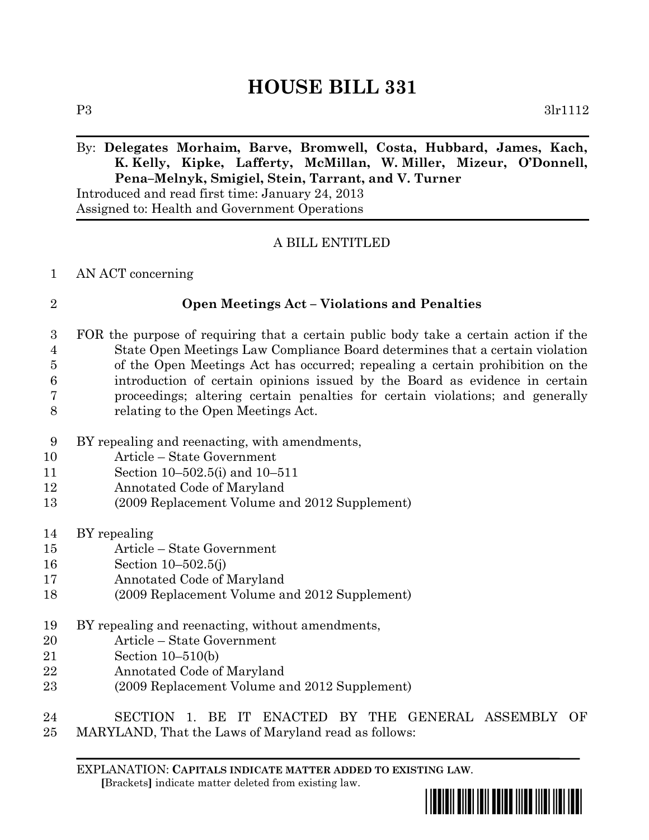# **HOUSE BILL 331**

P3 3lr1112

### By: **Delegates Morhaim, Barve, Bromwell, Costa, Hubbard, James, Kach, K. Kelly, Kipke, Lafferty, McMillan, W. Miller, Mizeur, O'Donnell, Pena–Melnyk, Smigiel, Stein, Tarrant, and V. Turner**

Introduced and read first time: January 24, 2013 Assigned to: Health and Government Operations

### A BILL ENTITLED

### AN ACT concerning

### **Open Meetings Act – Violations and Penalties**

 FOR the purpose of requiring that a certain public body take a certain action if the State Open Meetings Law Compliance Board determines that a certain violation of the Open Meetings Act has occurred; repealing a certain prohibition on the introduction of certain opinions issued by the Board as evidence in certain proceedings; altering certain penalties for certain violations; and generally relating to the Open Meetings Act.

- BY repealing and reenacting, with amendments,
- Article State Government
- Section 10–502.5(i) and 10–511
- Annotated Code of Maryland
- (2009 Replacement Volume and 2012 Supplement)
- BY repealing
- Article State Government
- Section 10–502.5(j)
- Annotated Code of Maryland
- (2009 Replacement Volume and 2012 Supplement)
- BY repealing and reenacting, without amendments,
- Article State Government
- Section 10–510(b)
- Annotated Code of Maryland
- (2009 Replacement Volume and 2012 Supplement)

## SECTION 1. BE IT ENACTED BY THE GENERAL ASSEMBLY OF

MARYLAND, That the Laws of Maryland read as follows:

EXPLANATION: **CAPITALS INDICATE MATTER ADDED TO EXISTING LAW**.  **[**Brackets**]** indicate matter deleted from existing law.

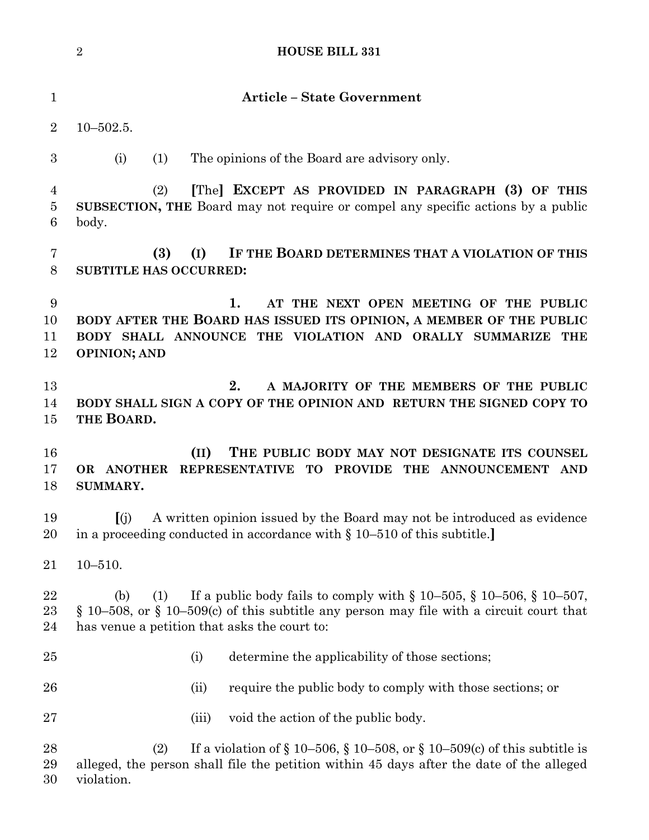|                                       | $\overline{2}$<br><b>HOUSE BILL 331</b>                                                                                                                                                                                                        |
|---------------------------------------|------------------------------------------------------------------------------------------------------------------------------------------------------------------------------------------------------------------------------------------------|
| $\mathbf{1}$                          | <b>Article - State Government</b>                                                                                                                                                                                                              |
| $\overline{2}$                        | $10 - 502.5$ .                                                                                                                                                                                                                                 |
| $\boldsymbol{3}$                      | The opinions of the Board are advisory only.<br>(i)<br>(1)                                                                                                                                                                                     |
| $\overline{4}$<br>$\overline{5}$<br>6 | [The] EXCEPT AS PROVIDED IN PARAGRAPH (3) OF THIS<br>(2)<br>SUBSECTION, THE Board may not require or compel any specific actions by a public<br>body.                                                                                          |
| 7<br>8                                | IF THE BOARD DETERMINES THAT A VIOLATION OF THIS<br>(3)<br>(I)<br><b>SUBTITLE HAS OCCURRED:</b>                                                                                                                                                |
| $\boldsymbol{9}$<br>10<br>11<br>12    | 1.<br>AT THE NEXT OPEN MEETING OF THE PUBLIC<br>BODY AFTER THE BOARD HAS ISSUED ITS OPINION, A MEMBER OF THE PUBLIC<br>BODY SHALL ANNOUNCE THE VIOLATION AND ORALLY SUMMARIZE THE<br><b>OPINION; AND</b>                                       |
| 13<br>14<br>15                        | 2.<br>A MAJORITY OF THE MEMBERS OF THE PUBLIC<br>BODY SHALL SIGN A COPY OF THE OPINION AND RETURN THE SIGNED COPY TO<br>THE BOARD.                                                                                                             |
| 16<br>17<br>18                        | (II)<br>THE PUBLIC BODY MAY NOT DESIGNATE ITS COUNSEL<br>REPRESENTATIVE TO PROVIDE THE ANNOUNCEMENT AND<br>OR ANOTHER<br>SUMMARY.                                                                                                              |
| 19<br>20                              | [(j) A written opinion issued by the Board may not be introduced as evidence<br>in a proceeding conducted in accordance with $\S 10-510$ of this subtitle.                                                                                     |
| 21                                    | $10 - 510.$                                                                                                                                                                                                                                    |
| 22<br>23<br>24                        | If a public body fails to comply with $\S 10-505$ , $\S 10-506$ , $\S 10-507$ ,<br>(1)<br>(b)<br>$\S$ 10–508, or $\S$ 10–509(c) of this subtitle any person may file with a circuit court that<br>has venue a petition that asks the court to: |
| 25                                    | determine the applicability of those sections;<br>(i)                                                                                                                                                                                          |
| 26                                    | require the public body to comply with those sections; or<br>(ii)                                                                                                                                                                              |
| 27                                    | void the action of the public body.<br>(iii)                                                                                                                                                                                                   |
| 28<br>29<br>30                        | If a violation of $\S 10-506$ , $\S 10-508$ , or $\S 10-509$ (c) of this subtitle is<br>(2)<br>alleged, the person shall file the petition within 45 days after the date of the alleged<br>violation.                                          |